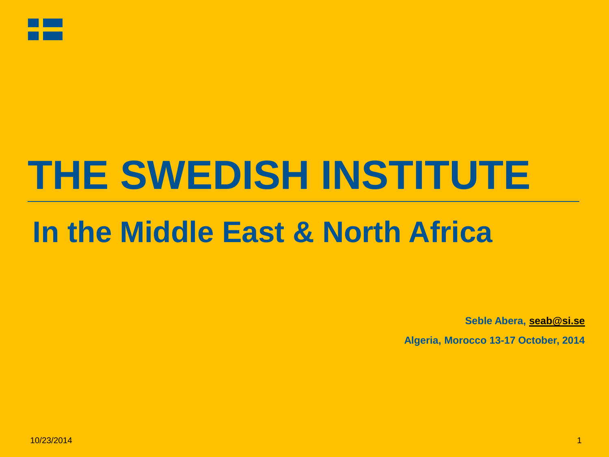

# **THE SWEDISH INSTITUTE**

### **In the Middle East & North Africa**

**Seble Abera, [seab@si.se](mailto:seab@si.se)**

**Algeria, Morocco 13-17 October, 2014**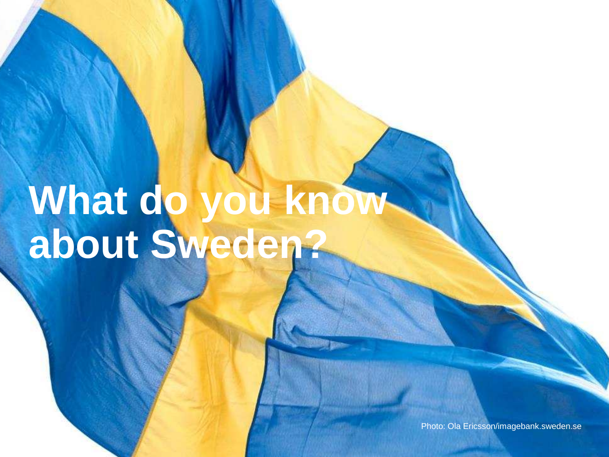# **What do you know about Sweden?**

Photo: Ola Ericsson/imagebank.sweden.se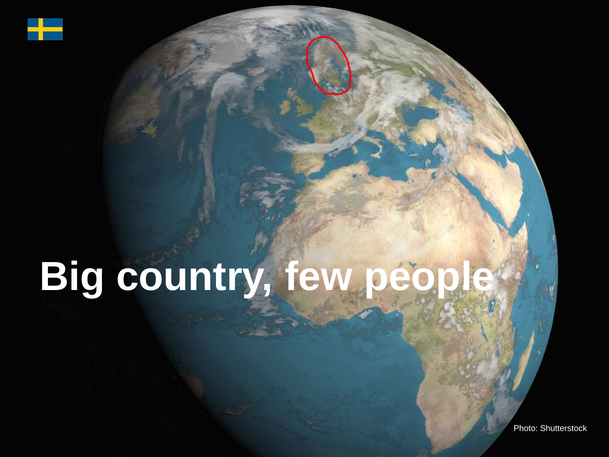

# **Big country, few people**

Photo: Shutterstock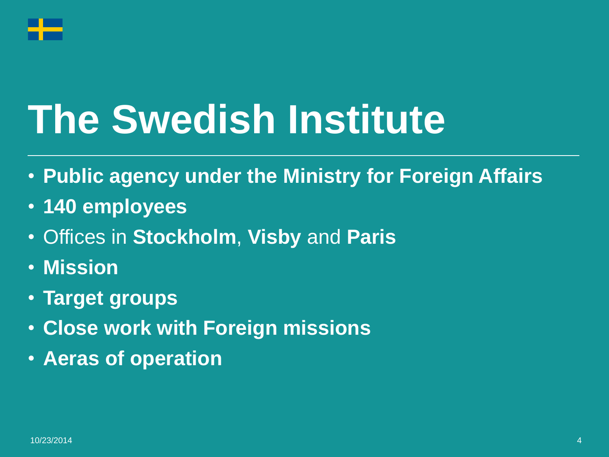

# **The Swedish Institute**

- **Public agency under the Ministry for Foreign Affairs**
- **140 employees**
- Offices in **Stockholm**, **Visby** and **Paris**
- **Mission**
- **Target groups**
- **Close work with Foreign missions**
- **Aeras of operation**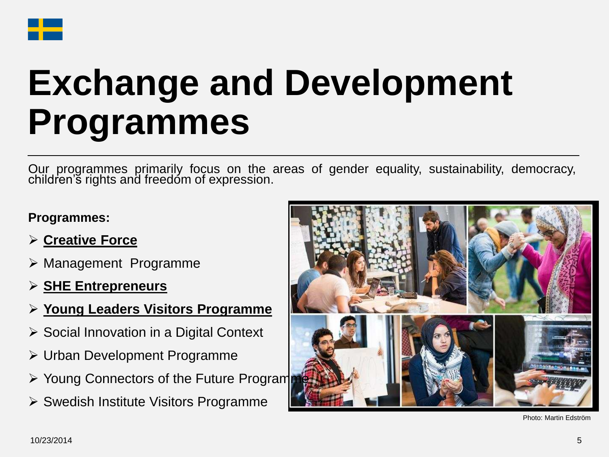

## **Exchange and Development Programmes**

Our programmes primarily focus on the areas of gender equality, sustainability, democracy, children's rights and freedom of expression.

#### **Programmes:**

- **Creative Force**
- Management Programme
- **SHE Entrepreneurs**
- **Young Leaders Visitors Programme**
- **► Social Innovation in a Digital Context**
- Urban Development Programme
- $\triangleright$  Young Connectors of the Future Programmers
- $\triangleright$  Swedish Institute Visitors Programme



Photo: Martin Edström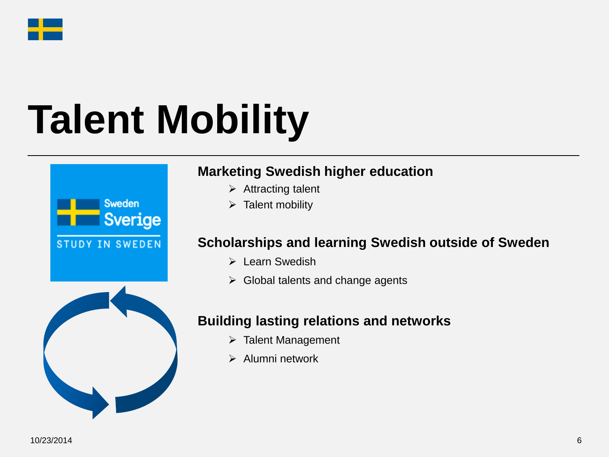

# **Talent Mobility**



### **Marketing Swedish higher education**

- $\triangleright$  Attracting talent
- $\triangleright$  Talent mobility

### **Scholarships and learning Swedish outside of Sweden**

- $\triangleright$  Learn Swedish
- $\triangleright$  Global talents and change agents

### **Building lasting relations and networks**

- > Talent Management
- $\triangleright$  Alumni network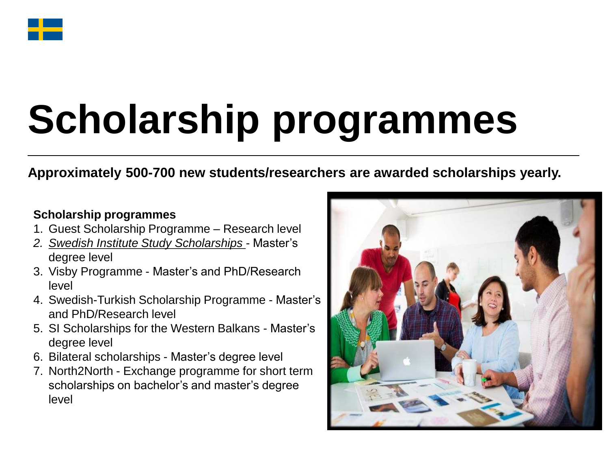

# **Scholarship programmes**

### **Approximately 500-700 new students/researchers are awarded scholarships yearly.**

#### **Scholarship programmes**

- 1. Guest Scholarship Programme Research level
- *2. Swedish Institute Study Scholarships -* Master's degree level
- 3. Visby Programme Master's and PhD/Research level
- 4. Swedish-Turkish Scholarship Programme Master's and PhD/Research level
- 5. SI Scholarships for the Western Balkans Master's degree level
- 6. Bilateral scholarships Master's degree level
- 7. North2North Exchange programme for short term scholarships on bachelor's and master's degree level

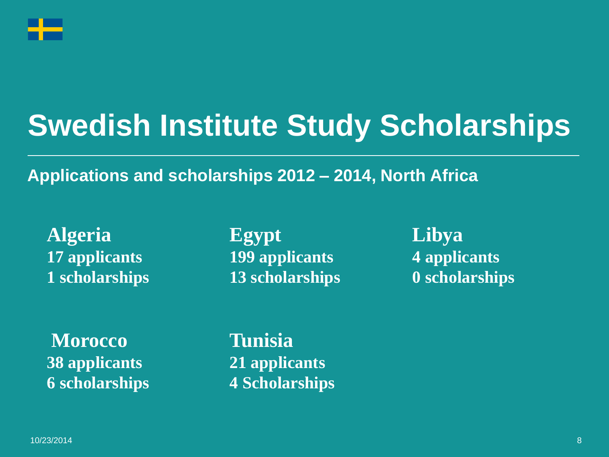

### **Swedish Institute Study Scholarships**

### **Applications and scholarships 2012 – 2014, North Africa**

**Algeria Egypt Libya 17 applicants 199 applicants 4 applicants** 1 scholarships 13 scholarships 0 scholarships

**Morocco Tunisia 38 applicants 21 applicants**

**6 scholarships 4 Scholarships**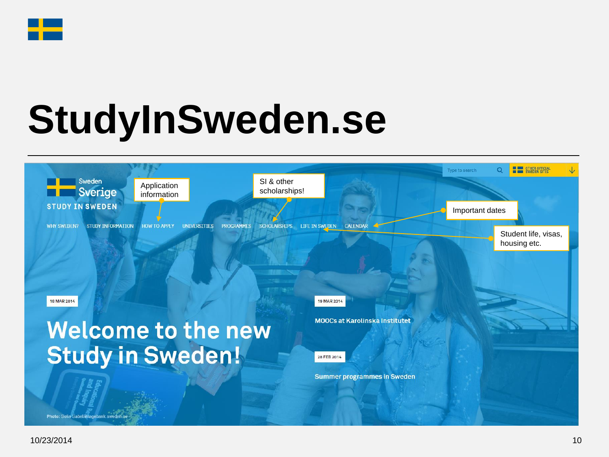

# **StudyInSweden.se**

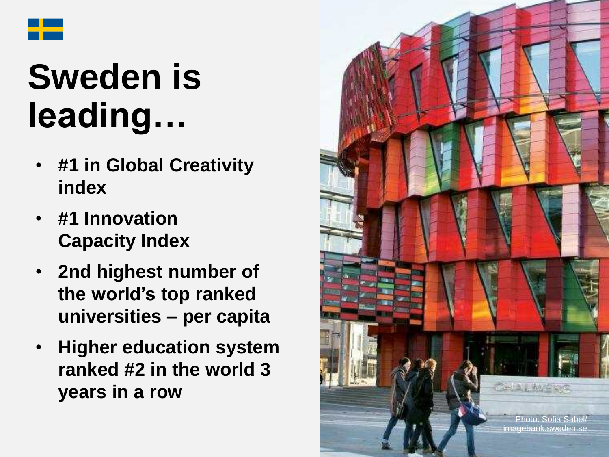

## **Sweden is leading…**

- **#1 in Global Creativity index**
- **#1 Innovation Capacity Index**
- **2nd highest number of the world's top ranked universities – per capita**
- **Higher education system ranked #2 in the world 3 years in a row**

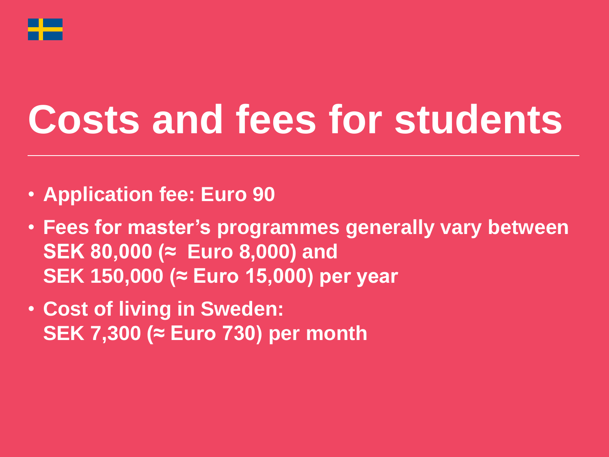

# **Costs and fees for students**

- **Application fee: Euro 90**
- **Fees for master's programmes generally vary between SEK 80,000 (≈ Euro 8,000) and SEK 150,000 (≈ Euro 15,000) per year**
- **Cost of living in Sweden: SEK 7,300 (≈ Euro 730) per month**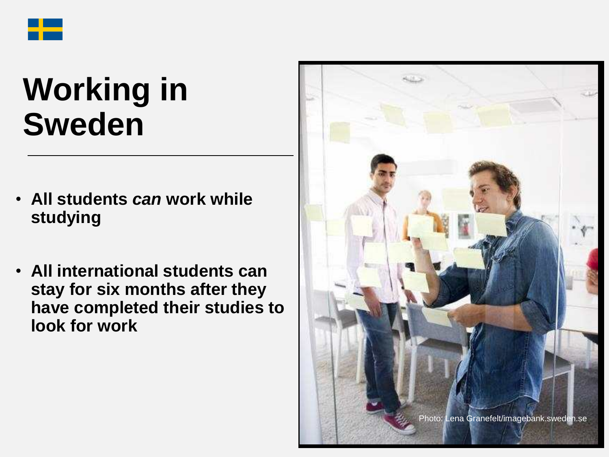

### **Working in Sweden**

- **All students** *can* **work while studying**
- **All international students can stay for six months after they have completed their studies to look for work**

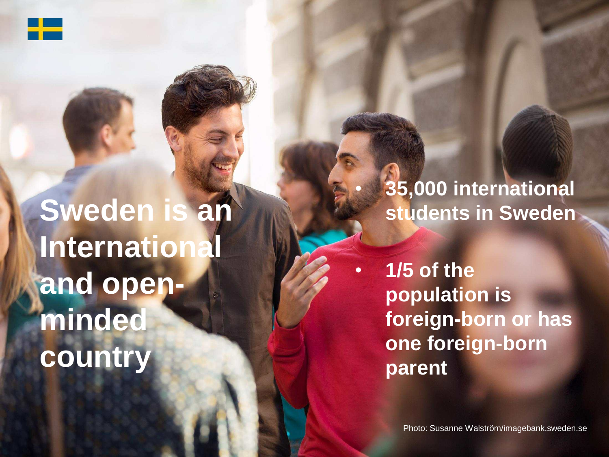

**Sweden is an International and openminded country**

• **35,000 international students in Sweden**

• **1/5 of the population is foreign-born or has one foreign-born parent**

Photo: Susanne Walström/imagebank.sweden.se